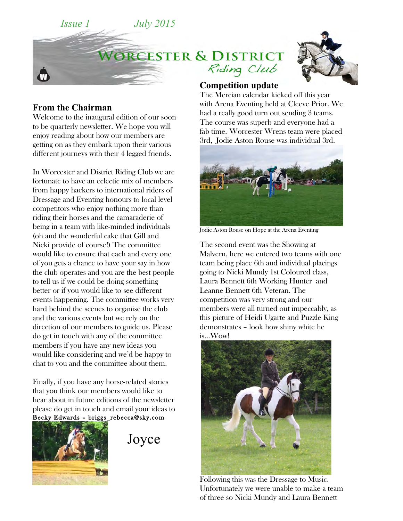



## **From the Chairman**

Welcome to the inaugural edition of our soon to be quarterly newsletter. We hope you will enjoy reading about how our members are getting on as they embark upon their various different journeys with their 4 legged friends.

In Worcester and District Riding Club we are fortunate to have an eclectic mix of members from happy hackers to international riders of Dressage and Eventing honours to local level competitors who enjoy nothing more than riding their horses and the camaraderie of being in a team with like-minded individuals (oh and the wonderful cake that Gill and Nicki provide of course!) The committee would like to ensure that each and every one of you gets a chance to have your say in how the club operates and you are the best people to tell us if we could be doing something better or if you would like to see different events happening. The committee works very hard behind the scenes to organise the club and the various events but we rely on the direction of our members to guide us. Please do get in touch with any of the committee members if you have any new ideas you would like considering and we'd be happy to chat to you and the committee about them.

Finally, if you have any horse-related stories that you think our members would like to hear about in future editions of the newsletter please do get in touch and email your ideas to Becky Edwards – briggs\_rebecca@sky.com



Joyce

## **Competition update**

The Mercian calendar kicked off this year with Arena Eventing held at Cleeve Prior. We had a really good turn out sending 3 teams. The course was superb and everyone had a fab time. Worcester Wrens team were placed 3rd, Jodie Aston Rouse was individual 3rd.



Jodie Aston Rouse on Hope at the Arena Eventing

The second event was the Showing at Malvern, here we entered two teams with one team being place 6th and individual placings going to Nicki Mundy 1st Coloured class, Laura Bennett 6th Working Hunter and Leanne Bennett 6th Veteran. The competition was very strong and our members were all turned out impeccably, as this picture of Heidi Ugarte and Puzzle King demonstrates – look how shiny white he is…Wow!



Following this was the Dressage to Music. Unfortunately we were unable to make a team of three so Nicki Mundy and Laura Bennett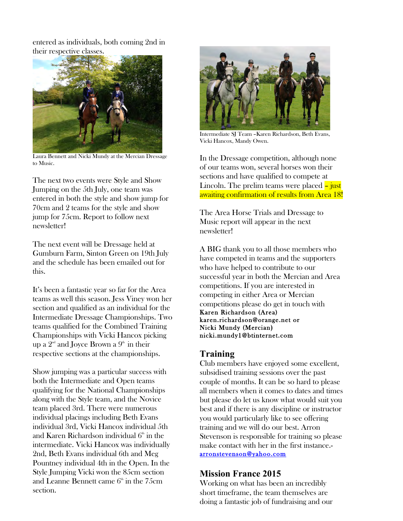entered as individuals, both coming 2nd in their respective classes.



Laura Bennett and Nicki Mundy at the Mercian Dressage to Music.

The next two events were Style and Show Jumping on the 5th July, one team was entered in both the style and show jump for 70cm and 2 teams for the style and show jump for 75cm. Report to follow next newsletter!

The next event will be Dressage held at Gumburn Farm, Sinton Green on 19th July and the schedule has been emailed out for this.

It's been a fantastic year so far for the Area teams as well this season. Jess Viney won her section and qualified as an individual for the Intermediate Dressage Championships. Two teams qualified for the Combined Training Championships with Vicki Hancox picking up a  $2<sup>nd</sup>$  and Joyce Brown a  $9<sup>th</sup>$  in their respective sections at the championships.

Show jumping was a particular success with both the Intermediate and Open teams qualifying for the National Championships along with the Style team, and the Novice team placed 3rd. There were numerous individual placings including Beth Evans individual 3rd, Vicki Hancox individual 5th and Karen Richardson individual  $6<sup>th</sup>$  in the intermediate. Vicki Hancox was individually 2nd, Beth Evans individual 6th and Meg Pountney individual 4th in the Open. In the Style Jumping Vicki won the 85cm section and Leanne Bennett came  $6<sup>th</sup>$  in the 75cm section.



Intermediate SJ Team –Karen Richardson, Beth Evans, Vicki Hancox, Mandy Owen.

In the Dressage competition, although none of our teams won, several horses won their sections and have qualified to compete at Lincoln. The prelim teams were placed – just awaiting confirmation of results from Area 18!

The Area Horse Trials and Dressage to Music report will appear in the next newsletter!

A BIG thank you to all those members who have competed in teams and the supporters who have helped to contribute to our successful year in both the Mercian and Area competitions. If you are interested in competing in either Area or Mercian competitions please do get in touch with Karen Richardson (Area) karen.richardson@orange.net or Nicki Mundy (Mercian**)**  nicki.mundy1@btinternet.com

## **Training**

Club members have enjoyed some excellent, subsidised training sessions over the past couple of months. It can be so hard to please all members when it comes to dates and times but please do let us know what would suit you best and if there is any discipline or instructor you would particularly like to see offering training and we will do our best. Arron Stevenson is responsible for training so please make contact with her in the first instance. arronstevenson@yahoo.com

# **Mission France 2015**

Working on what has been an incredibly short timeframe, the team themselves are doing a fantastic job of fundraising and our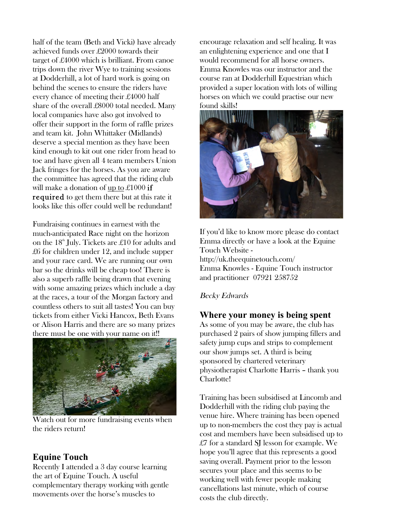half of the team (Beth and Vicki) have already achieved funds over £2000 towards their target of £4000 which is brilliant. From canoe trips down the river Wye to training sessions at Dodderhill, a lot of hard work is going on behind the scenes to ensure the riders have every chance of meeting their £4000 half share of the overall £8000 total needed. Many local companies have also got involved to offer their support in the form of raffle prizes and team kit. John Whittaker (Midlands) deserve a special mention as they have been kind enough to kit out one rider from head to toe and have given all 4 team members Union Jack fringes for the horses. As you are aware the committee has agreed that the riding club will make a donation of up to £1000 if required to get them there but at this rate it looks like this offer could well be redundant!

Fundraising continues in earnest with the much-anticipated Race night on the horizon on the  $18<sup>th</sup>$  July. Tickets are £10 for adults and £6 for children under 12, and include supper and your race card. We are running our own bar so the drinks will be cheap too! There is also a superb raffle being drawn that evening with some amazing prizes which include a day at the races, a tour of the Morgan factory and countless others to suit all tastes! You can buy tickets from either Vicki Hancox, Beth Evans or Alison Harris and there are so many prizes there must be one with your name on it!!



Watch out for more fundraising events when the riders return!

## **Equine Touch**

Recently I attended a 3 day course learning the art of Equine Touch. A useful complementary therapy working with gentle movements over the horse's muscles to

encourage relaxation and self healing. It was an enlightening experience and one that I would recommend for all horse owners. Emma Knowles was our instructor and the course ran at Dodderhill Equestrian which provided a super location with lots of willing horses on which we could practise our new found skills!



If you'd like to know more please do contact Emma directly or have a look at the Equine Touch Website http://uk.theequinetouch.com/ Emma Knowles - Equine Touch instructor and practitioner 07921 258752

#### Becky Edwards

#### **Where your money is being spent**

As some of you may be aware, the club has purchased 2 pairs of show jumping fillers and safety jump cups and strips to complement our show jumps set. A third is being sponsored by chartered veterinary physiotherapist Charlotte Harris – thank you Charlotte!

Training has been subsidised at Lincomb and Dodderhill with the riding club paying the venue hire. Where training has been opened up to non-members the cost they pay is actual cost and members have been subsidised up to £7 for a standard SJ lesson for example. We hope you'll agree that this represents a good saving overall. Payment prior to the lesson secures your place and this seems to be working well with fewer people making cancellations last minute, which of course costs the club directly.